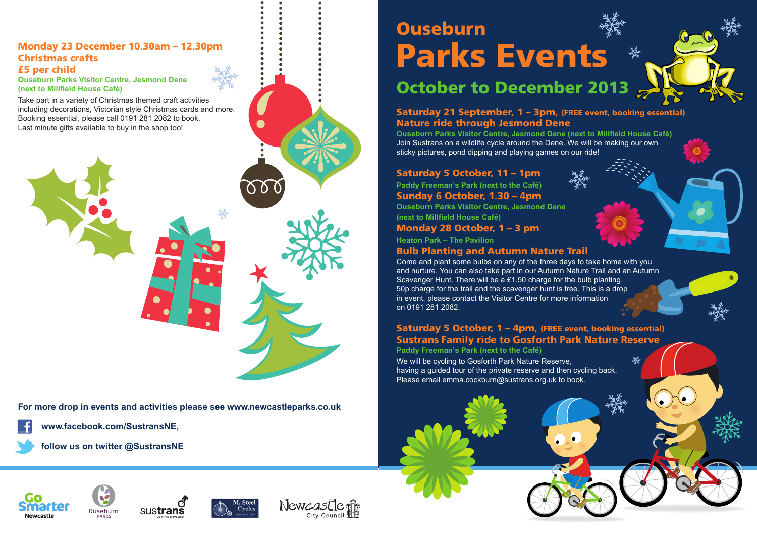# **Ouseburn Parks Events**

## **October to December 2013**

**Saturday 21 September, 1 – 3pm, (FREE event, booking essential) Nature ride through Jesmond Dene**

**Ouseburn Parks Visitor Centre, Jesmond Dene (next to Millfield House Café)** Join Sustrans on a wildlife cycle around the Dene. We will be making our own sticky pictures, pond dipping and playing games on our ride!

#### **Saturday 5 October, 11 – 1pm**

**Paddy Freeman's Park (next to the Café)**

**Sunday 6 October, 1.30 – 4pm**

**Ouseburn Parks Visitor Centre, Jesmond Dene (next to Millfield House Café)**

**Monday 28 October, 1 – 3 pm**

**Heaton Park – The Pavilion**

### **Bulb Planting and Autumn Nature Trail**

Come and plant some bulbs on any of the three days to take home with you and nurture. You can also take part in our Autumn Nature Trail and an Autumn Scavenger Hunt. There will be a £1.50 charge for the bulb planting, 50p charge for the trail and the scavenger hunt is free. This is a drop in event, please contact the Visitor Centre for more information on 0191 281 2082.

#### **Saturday 5 October, 1 – 4pm, (FREE event, booking essential) Sustrans Family ride to Gosforth Park Nature Reserve**

**Paddy Freeman's Park (next to the Café)**

We will be cycling to Gosforth Park Nature Reserve, having a guided tour of the private reserve and then cycling back. Please email emma.cockburn@sustrans.org.uk to book.







#### **Monday 23 December 10.30am – 12.30pm Christmas crafts £5 per child**

**Ouseburn Parks Visitor Centre, Jesmond Dene (next to Millfield House Café)**

Take part in a variety of Christmas themed craft activities including decorations, Victorian style Christmas cards and more. Booking essential, please call 0191 281 2082 to book. Last minute gifts available to buy in the shop too!



**For more drop in events and activities please see www.newcastleparks.co.uk**



**www.facebook.com/SustransNE,**



**follow us on twitter @SustransNE**